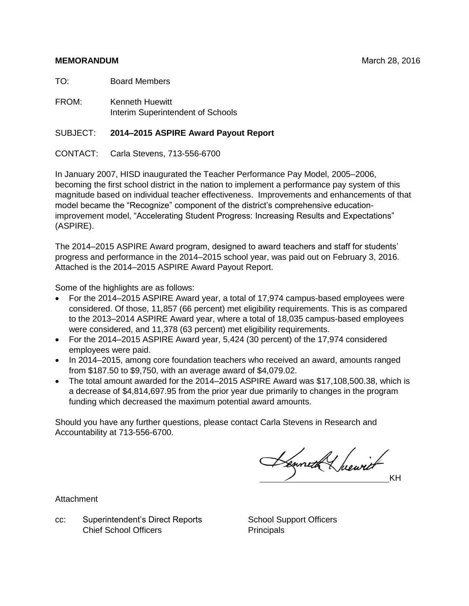### **MEMORANDUM MEMORANDUM MEMORANDUM MEMORANDUM**

TO: Board Members

FROM:Kenneth Huewitt Interim Superintendent of Schools

### SUBJECT: **2014–2015 ASPIRE Award Payout Report**

CONTACT: Carla Stevens, 713-556-6700

In January 2007, HISD inaugurated the Teacher Performance Pay Model, 2005–2006, becoming the first school district in the nation to implement a performance pay system of this magnitude based on individual teacher effectiveness. Improvements and enhancements of that model became the "Recognize" component of the district's comprehensive educationimprovement model, "Accelerating Student Progress: Increasing Results and Expectations" (ASPIRE).

The 2014–2015 ASPIRE Award program, designed to award teachers and staff for students' progress and performance in the 2014–2015 school year, was paid out on February 3, 2016. Attached is the 2014–2015 ASPIRE Award Payout Report.

Some of the highlights are as follows:

- For the 2014–2015 ASPIRE Award year, a total of 17,974 campus-based employees were considered. Of those, 11,857 (66 percent) met eligibility requirements. This is as compared to the 2013–2014 ASPIRE Award year, where a total of 18,035 campus-based employees were considered, and 11,378 (63 percent) met eligibility requirements.
- For the 2014–2015 ASPIRE Award year, 5,424 (30 percent) of the 17,974 considered employees were paid.
- In 2014–2015, among core foundation teachers who received an award, amounts ranged from \$187.50 to \$9,750, with an average award of \$4,079.02.
- The total amount awarded for the 2014–2015 ASPIRE Award was \$17,108,500.38, which is a decrease of \$4,814,697.95 from the prior year due primarily to changes in the program funding which decreased the maximum potential award amounts.

Should you have any further questions, please contact Carla Stevens in Research and Accountability at 713-556-6700.

Denneth & hearit KH

Attachment

cc: Superintendent's Direct Reports School Support Officers Chief School Officers **Principals**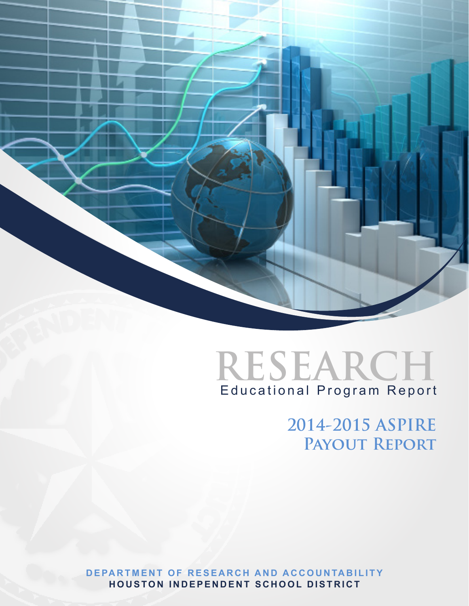



**2014-2015 ASPIRE Payout Report**

**DEPARTMENT OF RESEARCH AND ACCOUNTABILITY HOUSTON INDEPENDENT SCHOOL DISTRICT**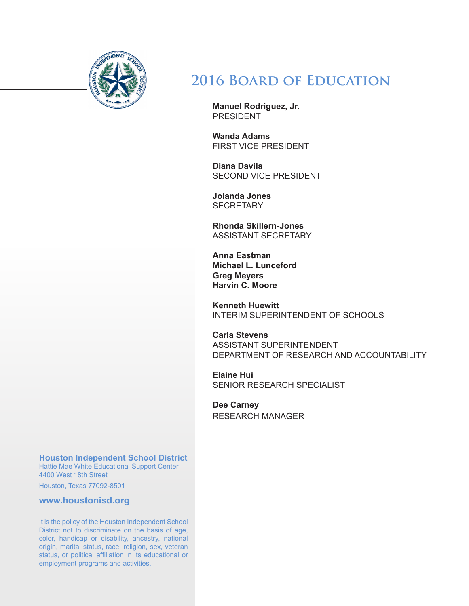

**2016 Board of Education**

**Manuel Rodriguez, Jr.** PRESIDENT

**Wanda Adams** FIRST VICE PRESIDENT

**Diana Davila** SECOND VICE PRESIDENT

**Jolanda Jones SECRETARY** 

**Rhonda Skillern-Jones** ASSISTANT SECRETARY

**Anna Eastman Michael L. Lunceford Greg Meyers Harvin C. Moore**

**Kenneth Huewitt** INTERIM SUPERINTENDENT OF SCHOOLS

**Carla Stevens** ASSISTANT SUPERINTENDENT DEPARTMENT OF RESEARCH AND ACCOUNTABILITY

**Elaine Hui** SENIOR RESEARCH SPECIALIST

**Dee Carney** RESEARCH MANAGER

**Houston Independent School District**

Hattie Mae White Educational Support Center 4400 West 18th Street

Houston, Texas 77092-8501

**www.houstonisd.org**

It is the policy of the Houston Independent School District not to discriminate on the basis of age, color, handicap or disability, ancestry, national origin, marital status, race, religion, sex, veteran status, or political affiliation in its educational or employment programs and activities.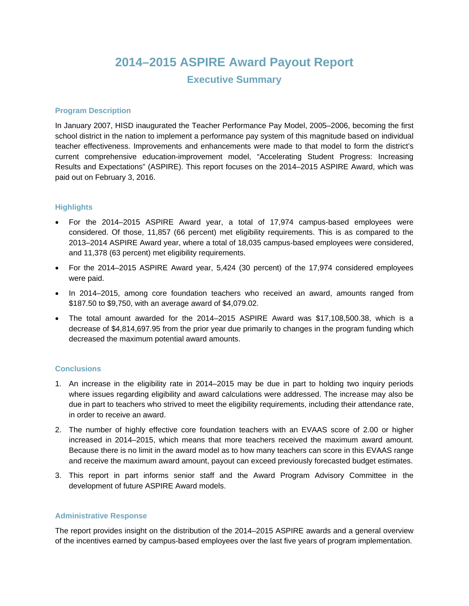# **2014–2015 ASPIRE Award Payout Report**

### **Executive Summary**

#### **Program Description**

In January 2007, HISD inaugurated the Teacher Performance Pay Model, 2005–2006, becoming the first school district in the nation to implement a performance pay system of this magnitude based on individual teacher effectiveness. Improvements and enhancements were made to that model to form the district's current comprehensive education-improvement model, "Accelerating Student Progress: Increasing Results and Expectations" (ASPIRE). This report focuses on the 2014–2015 ASPIRE Award, which was paid out on February 3, 2016.

#### **Highlights**

- For the 2014–2015 ASPIRE Award year, a total of 17,974 campus-based employees were considered. Of those, 11,857 (66 percent) met eligibility requirements. This is as compared to the 2013–2014 ASPIRE Award year, where a total of 18,035 campus-based employees were considered, and 11,378 (63 percent) met eligibility requirements.
- For the 2014–2015 ASPIRE Award year, 5,424 (30 percent) of the 17,974 considered employees were paid.
- In 2014–2015, among core foundation teachers who received an award, amounts ranged from \$187.50 to \$9,750, with an average award of \$4,079.02.
- The total amount awarded for the 2014–2015 ASPIRE Award was \$17,108,500.38, which is a decrease of \$4,814,697.95 from the prior year due primarily to changes in the program funding which decreased the maximum potential award amounts.

#### **Conclusions**

- 1. An increase in the eligibility rate in 2014–2015 may be due in part to holding two inquiry periods where issues regarding eligibility and award calculations were addressed. The increase may also be due in part to teachers who strived to meet the eligibility requirements, including their attendance rate, in order to receive an award.
- 2. The number of highly effective core foundation teachers with an EVAAS score of 2.00 or higher increased in 2014–2015, which means that more teachers received the maximum award amount. Because there is no limit in the award model as to how many teachers can score in this EVAAS range and receive the maximum award amount, payout can exceed previously forecasted budget estimates.
- 3. This report in part informs senior staff and the Award Program Advisory Committee in the development of future ASPIRE Award models.

### **Administrative Response**

The report provides insight on the distribution of the 2014–2015 ASPIRE awards and a general overview of the incentives earned by campus-based employees over the last five years of program implementation.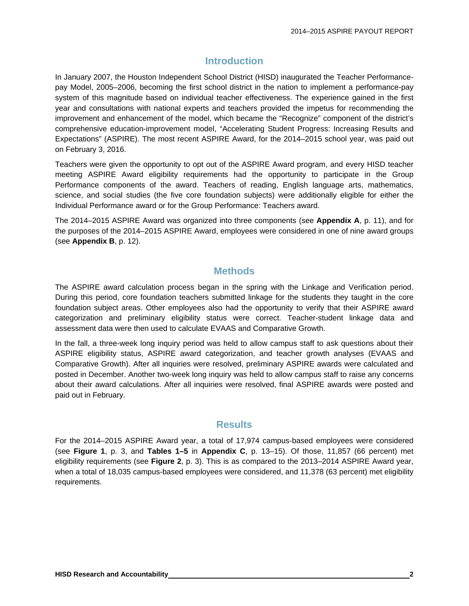# **Introduction**

In January 2007, the Houston Independent School District (HISD) inaugurated the Teacher Performancepay Model, 2005–2006, becoming the first school district in the nation to implement a performance-pay system of this magnitude based on individual teacher effectiveness. The experience gained in the first year and consultations with national experts and teachers provided the impetus for recommending the improvement and enhancement of the model, which became the "Recognize" component of the district's comprehensive education-improvement model, "Accelerating Student Progress: Increasing Results and Expectations" (ASPIRE). The most recent ASPIRE Award, for the 2014–2015 school year, was paid out on February 3, 2016.

Teachers were given the opportunity to opt out of the ASPIRE Award program, and every HISD teacher meeting ASPIRE Award eligibility requirements had the opportunity to participate in the Group Performance components of the award. Teachers of reading, English language arts, mathematics, science, and social studies (the five core foundation subjects) were additionally eligible for either the Individual Performance award or for the Group Performance: Teachers award.

The 2014–2015 ASPIRE Award was organized into three components (see **Appendix A**, p. 11), and for the purposes of the 2014–2015 ASPIRE Award, employees were considered in one of nine award groups (see **Appendix B**, p. 12).

### **Methods**

The ASPIRE award calculation process began in the spring with the Linkage and Verification period. During this period, core foundation teachers submitted linkage for the students they taught in the core foundation subject areas. Other employees also had the opportunity to verify that their ASPIRE award categorization and preliminary eligibility status were correct. Teacher-student linkage data and assessment data were then used to calculate EVAAS and Comparative Growth.

In the fall, a three-week long inquiry period was held to allow campus staff to ask questions about their ASPIRE eligibility status, ASPIRE award categorization, and teacher growth analyses (EVAAS and Comparative Growth). After all inquiries were resolved, preliminary ASPIRE awards were calculated and posted in December. Another two-week long inquiry was held to allow campus staff to raise any concerns about their award calculations. After all inquiries were resolved, final ASPIRE awards were posted and paid out in February.

### **Results**

For the 2014–2015 ASPIRE Award year, a total of 17,974 campus-based employees were considered (see **Figure 1**, p. 3, and **Tables 1–5** in **Appendix C**, p. 13–15). Of those, 11,857 (66 percent) met eligibility requirements (see **Figure 2**, p. 3). This is as compared to the 2013–2014 ASPIRE Award year, when a total of 18,035 campus-based employees were considered, and 11,378 (63 percent) met eligibility requirements.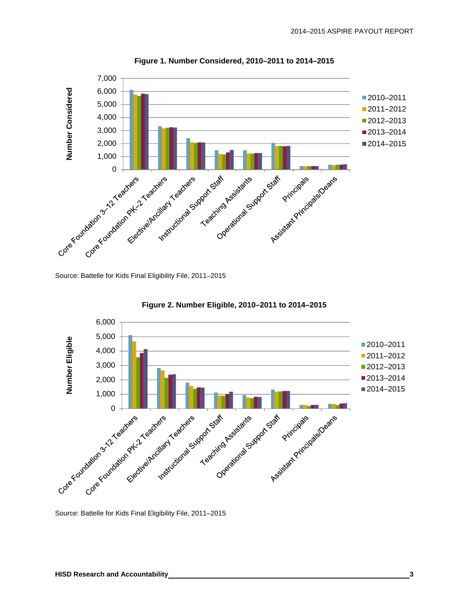

**Figure 1. Number Considered, 2010–2011 to 2014–2015** 

Source: Battelle for Kids Final Eligibility File, 2011–2015





Source: Battelle for Kids Final Eligibility File, 2011–2015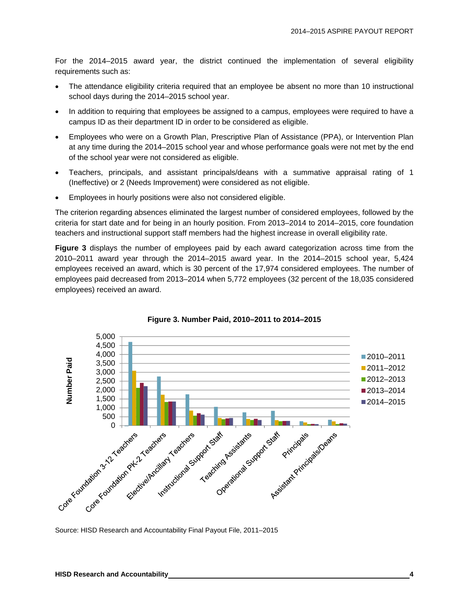For the 2014–2015 award year, the district continued the implementation of several eligibility requirements such as:

- The attendance eligibility criteria required that an employee be absent no more than 10 instructional school days during the 2014–2015 school year.
- In addition to requiring that employees be assigned to a campus, employees were required to have a campus ID as their department ID in order to be considered as eligible.
- Employees who were on a Growth Plan, Prescriptive Plan of Assistance (PPA), or Intervention Plan at any time during the 2014–2015 school year and whose performance goals were not met by the end of the school year were not considered as eligible.
- Teachers, principals, and assistant principals/deans with a summative appraisal rating of 1 (Ineffective) or 2 (Needs Improvement) were considered as not eligible.
- Employees in hourly positions were also not considered eligible.

The criterion regarding absences eliminated the largest number of considered employees, followed by the criteria for start date and for being in an hourly position. From 2013–2014 to 2014–2015, core foundation teachers and instructional support staff members had the highest increase in overall eligibility rate.

**Figure 3** displays the number of employees paid by each award categorization across time from the 2010–2011 award year through the 2014–2015 award year. In the 2014–2015 school year, 5,424 employees received an award, which is 30 percent of the 17,974 considered employees. The number of employees paid decreased from 2013–2014 when 5,772 employees (32 percent of the 18,035 considered employees) received an award.



**Figure 3. Number Paid, 2010–2011 to 2014–2015**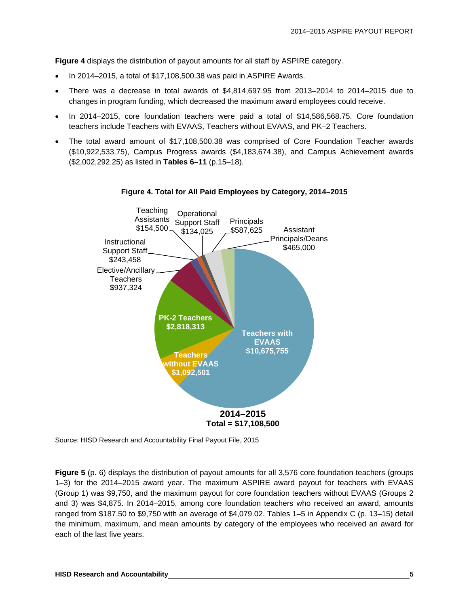**Figure 4** displays the distribution of payout amounts for all staff by ASPIRE category.

- In 2014–2015, a total of \$17,108,500.38 was paid in ASPIRE Awards.
- There was a decrease in total awards of \$4,814,697.95 from 2013–2014 to 2014–2015 due to changes in program funding, which decreased the maximum award employees could receive.
- In 2014–2015, core foundation teachers were paid a total of \$14,586,568.75. Core foundation teachers include Teachers with EVAAS, Teachers without EVAAS, and PK–2 Teachers.
- The total award amount of \$17,108,500.38 was comprised of Core Foundation Teacher awards (\$10,922,533.75), Campus Progress awards (\$4,183,674.38), and Campus Achievement awards (\$2,002,292.25) as listed in **Tables 6–11** (p.15–18).



#### **Figure 4. Total for All Paid Employees by Category, 2014–2015**

Source: HISD Research and Accountability Final Payout File, 2015

**Figure 5** (p. 6) displays the distribution of payout amounts for all 3,576 core foundation teachers (groups 1–3) for the 2014–2015 award year. The maximum ASPIRE award payout for teachers with EVAAS (Group 1) was \$9,750, and the maximum payout for core foundation teachers without EVAAS (Groups 2 and 3) was \$4,875. In 2014–2015, among core foundation teachers who received an award, amounts ranged from \$187.50 to \$9,750 with an average of \$4,079.02. Tables 1–5 in Appendix C (p. 13–15) detail the minimum, maximum, and mean amounts by category of the employees who received an award for each of the last five years.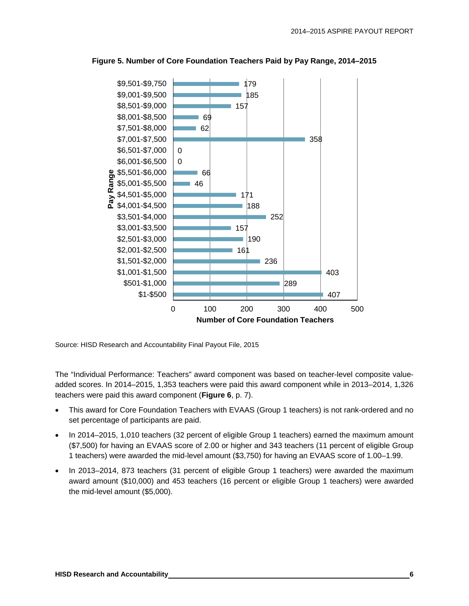

**Figure 5. Number of Core Foundation Teachers Paid by Pay Range, 2014–2015** 

The "Individual Performance: Teachers" award component was based on teacher-level composite valueadded scores. In 2014–2015, 1,353 teachers were paid this award component while in 2013–2014, 1,326 teachers were paid this award component (**Figure 6**, p. 7).

- This award for Core Foundation Teachers with EVAAS (Group 1 teachers) is not rank-ordered and no set percentage of participants are paid.
- In 2014–2015, 1,010 teachers (32 percent of eligible Group 1 teachers) earned the maximum amount (\$7,500) for having an EVAAS score of 2.00 or higher and 343 teachers (11 percent of eligible Group 1 teachers) were awarded the mid-level amount (\$3,750) for having an EVAAS score of 1.00–1.99.
- In 2013–2014, 873 teachers (31 percent of eligible Group 1 teachers) were awarded the maximum award amount (\$10,000) and 453 teachers (16 percent or eligible Group 1 teachers) were awarded the mid-level amount (\$5,000).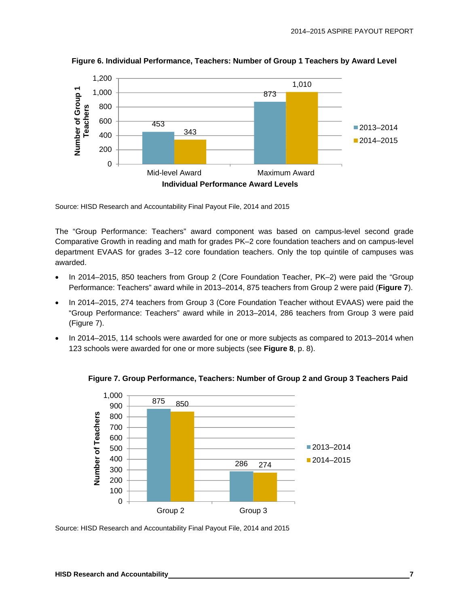

**Figure 6. Individual Performance, Teachers: Number of Group 1 Teachers by Award Level** 

The "Group Performance: Teachers" award component was based on campus-level second grade Comparative Growth in reading and math for grades PK–2 core foundation teachers and on campus-level department EVAAS for grades 3–12 core foundation teachers. Only the top quintile of campuses was awarded.

- In 2014–2015, 850 teachers from Group 2 (Core Foundation Teacher, PK–2) were paid the "Group Performance: Teachers" award while in 2013–2014, 875 teachers from Group 2 were paid (**Figure 7**).
- In 2014–2015, 274 teachers from Group 3 (Core Foundation Teacher without EVAAS) were paid the "Group Performance: Teachers" award while in 2013–2014, 286 teachers from Group 3 were paid (Figure 7).
- In 2014–2015, 114 schools were awarded for one or more subjects as compared to 2013–2014 when 123 schools were awarded for one or more subjects (see **Figure 8**, p. 8).



**Figure 7. Group Performance, Teachers: Number of Group 2 and Group 3 Teachers Paid**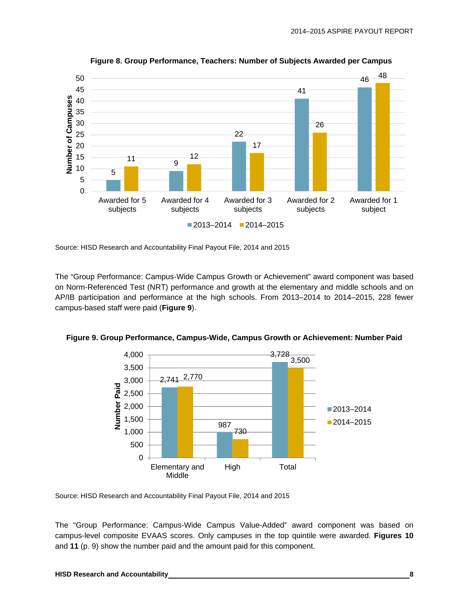

**Figure 8. Group Performance, Teachers: Number of Subjects Awarded per Campus** 

The "Group Performance: Campus-Wide Campus Growth or Achievement" award component was based on Norm-Referenced Test (NRT) performance and growth at the elementary and middle schools and on AP/IB participation and performance at the high schools. From 2013–2014 to 2014–2015, 228 fewer campus-based staff were paid (**Figure 9**).



**Figure 9. Group Performance, Campus-Wide, Campus Growth or Achievement: Number Paid** 

Source: HISD Research and Accountability Final Payout File, 2014 and 2015

The "Group Performance: Campus-Wide Campus Value-Added" award component was based on campus-level composite EVAAS scores. Only campuses in the top quintile were awarded. **Figures 10**  and **11** (p. 9) show the number paid and the amount paid for this component.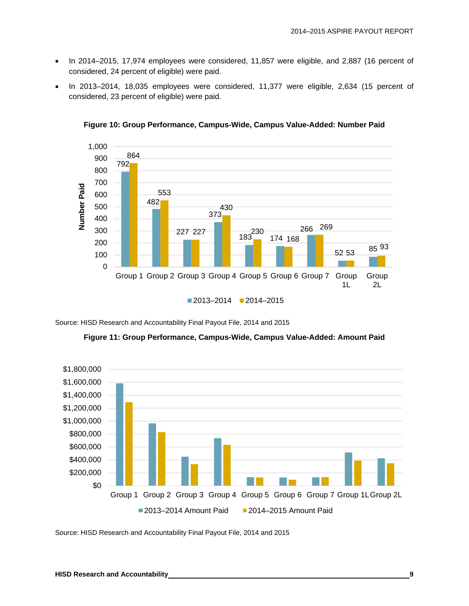- In 2014–2015, 17,974 employees were considered, 11,857 were eligible, and 2,887 (16 percent of considered, 24 percent of eligible) were paid.
- In 2013–2014, 18,035 employees were considered, 11,377 were eligible, 2,634 (15 percent of considered, 23 percent of eligible) were paid.



**Figure 10: Group Performance, Campus-Wide, Campus Value-Added: Number Paid** 



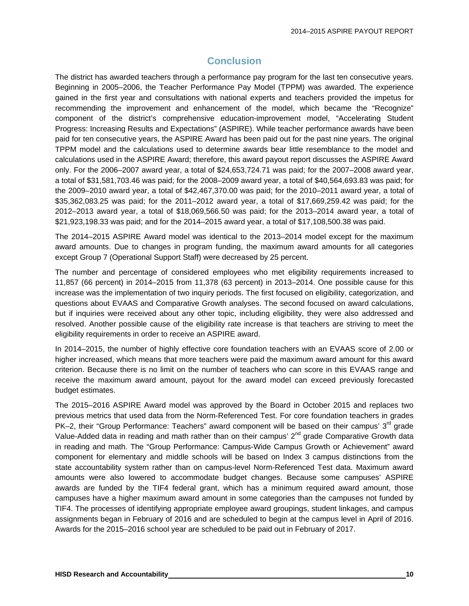# **Conclusion**

The district has awarded teachers through a performance pay program for the last ten consecutive years. Beginning in 2005–2006, the Teacher Performance Pay Model (TPPM) was awarded. The experience gained in the first year and consultations with national experts and teachers provided the impetus for recommending the improvement and enhancement of the model, which became the "Recognize" component of the district's comprehensive education-improvement model, "Accelerating Student Progress: Increasing Results and Expectations" (ASPIRE). While teacher performance awards have been paid for ten consecutive years, the ASPIRE Award has been paid out for the past nine years. The original TPPM model and the calculations used to determine awards bear little resemblance to the model and calculations used in the ASPIRE Award; therefore, this award payout report discusses the ASPIRE Award only. For the 2006–2007 award year, a total of \$24,653,724.71 was paid; for the 2007–2008 award year, a total of \$31,581,703.46 was paid; for the 2008–2009 award year, a total of \$40,564,693.83 was paid; for the 2009–2010 award year, a total of \$42,467,370.00 was paid; for the 2010–2011 award year, a total of \$35,362,083.25 was paid; for the 2011–2012 award year, a total of \$17,669,259.42 was paid; for the 2012–2013 award year, a total of \$18,069,566.50 was paid; for the 2013–2014 award year, a total of \$21,923,198.33 was paid; and for the 2014–2015 award year, a total of \$17,108,500.38 was paid.

The 2014–2015 ASPIRE Award model was identical to the 2013–2014 model except for the maximum award amounts. Due to changes in program funding, the maximum award amounts for all categories except Group 7 (Operational Support Staff) were decreased by 25 percent.

The number and percentage of considered employees who met eligibility requirements increased to 11,857 (66 percent) in 2014–2015 from 11,378 (63 percent) in 2013–2014. One possible cause for this increase was the implementation of two inquiry periods. The first focused on eligibility, categorization, and questions about EVAAS and Comparative Growth analyses. The second focused on award calculations, but if inquiries were received about any other topic, including eligibility, they were also addressed and resolved. Another possible cause of the eligibility rate increase is that teachers are striving to meet the eligibility requirements in order to receive an ASPIRE award.

In 2014–2015, the number of highly effective core foundation teachers with an EVAAS score of 2.00 or higher increased, which means that more teachers were paid the maximum award amount for this award criterion. Because there is no limit on the number of teachers who can score in this EVAAS range and receive the maximum award amount, payout for the award model can exceed previously forecasted budget estimates.

The 2015–2016 ASPIRE Award model was approved by the Board in October 2015 and replaces two previous metrics that used data from the Norm-Referenced Test. For core foundation teachers in grades  $PK-2$ , their "Group Performance: Teachers" award component will be based on their campus'  $3<sup>rd</sup>$  grade Value-Added data in reading and math rather than on their campus' 2<sup>nd</sup> grade Comparative Growth data in reading and math. The "Group Performance: Campus-Wide Campus Growth or Achievement" award component for elementary and middle schools will be based on Index 3 campus distinctions from the state accountability system rather than on campus-level Norm-Referenced Test data. Maximum award amounts were also lowered to accommodate budget changes. Because some campuses' ASPIRE awards are funded by the TIF4 federal grant, which has a minimum required award amount, those campuses have a higher maximum award amount in some categories than the campuses not funded by TIF4. The processes of identifying appropriate employee award groupings, student linkages, and campus assignments began in February of 2016 and are scheduled to begin at the campus level in April of 2016. Awards for the 2015–2016 school year are scheduled to be paid out in February of 2017.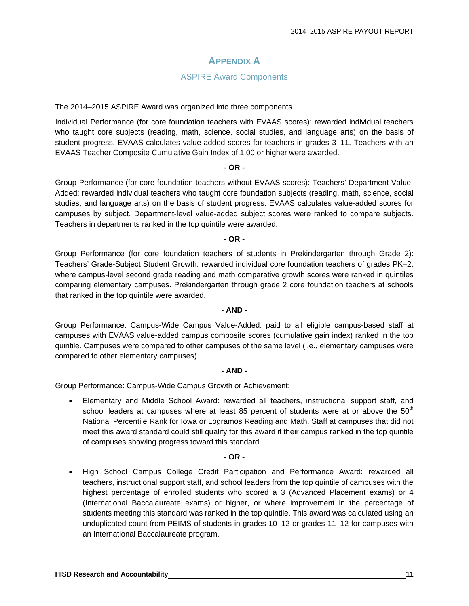### **APPENDIX A**

### ASPIRE Award Components

The 2014–2015 ASPIRE Award was organized into three components.

Individual Performance (for core foundation teachers with EVAAS scores): rewarded individual teachers who taught core subjects (reading, math, science, social studies, and language arts) on the basis of student progress. EVAAS calculates value-added scores for teachers in grades 3–11. Teachers with an EVAAS Teacher Composite Cumulative Gain Index of 1.00 or higher were awarded.

#### **- OR -**

Group Performance (for core foundation teachers without EVAAS scores): Teachers' Department Value-Added: rewarded individual teachers who taught core foundation subjects (reading, math, science, social studies, and language arts) on the basis of student progress. EVAAS calculates value-added scores for campuses by subject. Department-level value-added subject scores were ranked to compare subjects. Teachers in departments ranked in the top quintile were awarded.

#### **- OR -**

Group Performance (for core foundation teachers of students in Prekindergarten through Grade 2): Teachers' Grade-Subject Student Growth: rewarded individual core foundation teachers of grades PK–2, where campus-level second grade reading and math comparative growth scores were ranked in quintiles comparing elementary campuses. Prekindergarten through grade 2 core foundation teachers at schools that ranked in the top quintile were awarded.

### **- AND -**

Group Performance: Campus-Wide Campus Value-Added: paid to all eligible campus-based staff at campuses with EVAAS value-added campus composite scores (cumulative gain index) ranked in the top quintile. Campuses were compared to other campuses of the same level (i.e., elementary campuses were compared to other elementary campuses).

### **- AND -**

Group Performance: Campus-Wide Campus Growth or Achievement:

 Elementary and Middle School Award: rewarded all teachers, instructional support staff, and school leaders at campuses where at least 85 percent of students were at or above the  $50<sup>th</sup>$ National Percentile Rank for Iowa or Logramos Reading and Math. Staff at campuses that did not meet this award standard could still qualify for this award if their campus ranked in the top quintile of campuses showing progress toward this standard.

### **- OR -**

 High School Campus College Credit Participation and Performance Award: rewarded all teachers, instructional support staff, and school leaders from the top quintile of campuses with the highest percentage of enrolled students who scored a 3 (Advanced Placement exams) or 4 (International Baccalaureate exams) or higher, or where improvement in the percentage of students meeting this standard was ranked in the top quintile. This award was calculated using an unduplicated count from PEIMS of students in grades 10–12 or grades 11–12 for campuses with an International Baccalaureate program.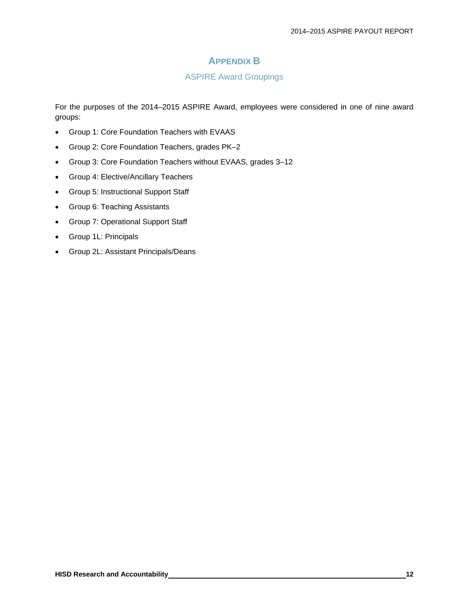### **APPENDIX B**

### ASPIRE Award Groupings

For the purposes of the 2014–2015 ASPIRE Award, employees were considered in one of nine award groups:

- Group 1: Core Foundation Teachers with EVAAS
- Group 2: Core Foundation Teachers, grades PK–2
- Group 3: Core Foundation Teachers without EVAAS, grades 3–12
- Group 4: Elective/Ancillary Teachers
- Group 5: Instructional Support Staff
- Group 6: Teaching Assistants
- Group 7: Operational Support Staff
- Group 1L: Principals
- Group 2L: Assistant Principals/Deans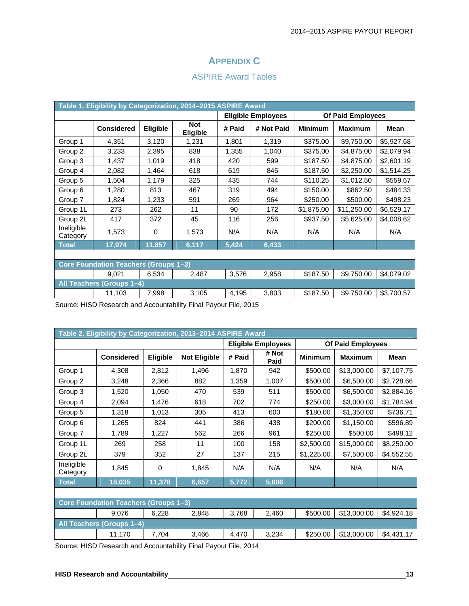# **APPENDIX C**

### ASPIRE Award Tables

| Table 1. Eligibility by Categorization, 2014-2015 ASPIRE Award |                                              |                 |                               |                           |            |                          |                |             |  |
|----------------------------------------------------------------|----------------------------------------------|-----------------|-------------------------------|---------------------------|------------|--------------------------|----------------|-------------|--|
|                                                                |                                              |                 |                               | <b>Eligible Employees</b> |            | <b>Of Paid Employees</b> |                |             |  |
|                                                                | <b>Considered</b>                            | <b>Eligible</b> | <b>Not</b><br><b>Eligible</b> | # Paid                    | # Not Paid | <b>Minimum</b>           | <b>Maximum</b> | <b>Mean</b> |  |
| Group 1                                                        | 4,351                                        | 3,120           | 1,231                         | 1,801                     | 1,319      | \$375.00                 | \$9,750.00     | \$5,927.68  |  |
| Group 2                                                        | 3,233                                        | 2,395           | 838                           | 1,355                     | 1,040      | \$375.00                 | \$4,875.00     | \$2,079.94  |  |
| Group 3                                                        | 1,437                                        | 1,019           | 418                           | 420                       | 599        | \$187.50                 | \$4,875.00     | \$2,601.19  |  |
| Group 4                                                        | 2,082                                        | 1,464           | 618                           | 619                       | 845        | \$187.50                 | \$2,250.00     | \$1,514.25  |  |
| Group 5                                                        | 1,504                                        | 1,179           | 325                           | 435                       | 744        | \$110.25                 | \$1,012.50     | \$559.67    |  |
| Group 6                                                        | 1,280                                        | 813             | 467                           | 319                       | 494        | \$150.00                 | \$862.50       | \$484.33    |  |
| Group 7                                                        | 1,824                                        | 1,233           | 591                           | 269                       | 964        | \$250.00                 | \$500.00       | \$498.23    |  |
| Group 1L                                                       | 273                                          | 262             | 11                            | 90                        | 172        | \$1,875.00               | \$11,250.00    | \$6,529.17  |  |
| Group 2L                                                       | 417                                          | 372             | 45                            | 116                       | 256        | \$937.50                 | \$5,625.00     | \$4,008.62  |  |
| Ineligible<br>Category                                         | 1,573                                        | 0               | 1,573                         | N/A                       | N/A        | N/A                      | N/A            | N/A         |  |
| <b>Total</b>                                                   | 17,974                                       | 11,857          | 6,117                         | 5,424                     | 6,433      |                          |                |             |  |
|                                                                |                                              |                 |                               |                           |            |                          |                |             |  |
|                                                                | <b>Core Foundation Teachers (Groups 1-3)</b> |                 |                               |                           |            |                          |                |             |  |
|                                                                | 9,021                                        | 6,534           | 2,487                         | 3,576                     | 2,958      | \$187.50                 | \$9,750.00     | \$4,079.02  |  |
|                                                                | All Teachers (Groups 1-4)                    |                 |                               |                           |            |                          |                |             |  |
|                                                                | 11,103                                       | 7,998           | 3,105                         | 4,195                     | 3,803      | \$187.50                 | \$9,750.00     | \$3,700.57  |  |

Source: HISD Research and Accountability Final Payout File, 2015

|                        | Table 2. Eligibility by Categorization, 2013-2014 ASPIRE Award |                 |                     |                   |               |                |                |            |  |
|------------------------|----------------------------------------------------------------|-----------------|---------------------|-------------------|---------------|----------------|----------------|------------|--|
|                        | <b>Eligible Employees</b>                                      |                 |                     | Of Paid Employees |               |                |                |            |  |
|                        | <b>Considered</b>                                              | <b>Eligible</b> | <b>Not Eligible</b> | # Paid            | # Not<br>Paid | <b>Minimum</b> | <b>Maximum</b> | Mean       |  |
| Group 1                | 4,308                                                          | 2,812           | 1,496               | 1,870             | 942           | \$500.00       | \$13,000.00    | \$7,107.75 |  |
| Group 2                | 3,248                                                          | 2,366           | 882                 | 1,359             | 1,007         | \$500.00       | \$6,500.00     | \$2,728.66 |  |
| Group 3                | 1,520                                                          | 1,050           | 470                 | 539               | 511           | \$500.00       | \$6,500.00     | \$2,884.16 |  |
| Group 4                | 2,094                                                          | 1,476           | 618                 | 702               | 774           | \$250.00       | \$3,000.00     | \$1,784.94 |  |
| Group 5                | 1,318                                                          | 1,013           | 305                 | 413               | 600           | \$180.00       | \$1,350.00     | \$736.71   |  |
| Group 6                | 1,265                                                          | 824             | 441                 | 386               | 438           | \$200.00       | \$1,150.00     | \$596.89   |  |
| Group 7                | 1,789                                                          | 1,227           | 562                 | 266               | 961           | \$250.00       | \$500.00       | \$498.12   |  |
| Group 1L               | 269                                                            | 258             | 11                  | 100               | 158           | \$2,500.00     | \$15,000.00    | \$8,250.00 |  |
| Group 2L               | 379                                                            | 352             | 27                  | 137               | 215           | \$1,225.00     | \$7,500.00     | \$4,552.55 |  |
| Ineligible<br>Category | 1,845                                                          | 0               | 1,845               | N/A               | N/A           | N/A            | N/A            | N/A        |  |
| <b>Total</b>           | 18,035                                                         | 11,378          | 6,657               | 5,772             | 5,606         |                |                |            |  |
|                        |                                                                |                 |                     |                   |               |                |                |            |  |
|                        | <b>Core Foundation Teachers (Groups 1-3)</b>                   |                 |                     |                   |               |                |                |            |  |
|                        | 9,076                                                          | 6,228           | 2,848               | 3,768             | 2,460         | \$500.00       | \$13,000.00    | \$4,924.18 |  |
|                        | All Teachers (Groups 1-4)                                      |                 |                     |                   |               |                |                |            |  |
|                        | 11,170                                                         | 7,704           | 3,466               | 4,470             | 3,234         | \$250.00       | \$13,000.00    | \$4,431.17 |  |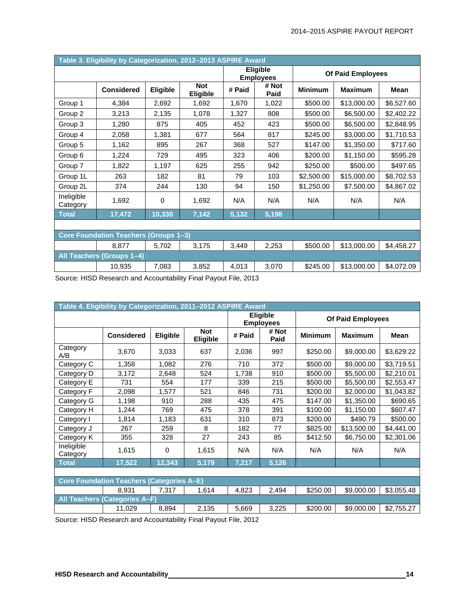| Table 3. Eligibility by Categorization, 2012-2013 ASPIRE Award |                                              |          |                               |                                     |               |                          |                |             |  |
|----------------------------------------------------------------|----------------------------------------------|----------|-------------------------------|-------------------------------------|---------------|--------------------------|----------------|-------------|--|
|                                                                |                                              |          |                               | <b>Eligible</b><br><b>Employees</b> |               | <b>Of Paid Employees</b> |                |             |  |
|                                                                | <b>Considered</b>                            | Eligible | <b>Not</b><br><b>Eligible</b> | # Paid                              | # Not<br>Paid | <b>Minimum</b>           | <b>Maximum</b> | <b>Mean</b> |  |
| Group 1                                                        | 4,384                                        | 2,692    | 1,692                         | 1,670                               | 1,022         | \$500.00                 | \$13,000.00    | \$6,527.60  |  |
| Group 2                                                        | 3,213                                        | 2,135    | 1,078                         | 1,327                               | 808           | \$500.00                 | \$6,500.00     | \$2,402.22  |  |
| Group 3                                                        | 1,280                                        | 875      | 405                           | 452                                 | 423           | \$500.00                 | \$6,500.00     | \$2,848.95  |  |
| Group 4                                                        | 2,058                                        | 1,381    | 677                           | 564                                 | 817           | \$245.00                 | \$3,000.00     | \$1,710.53  |  |
| Group 5                                                        | 1,162                                        | 895      | 267                           | 368                                 | 527           | \$147.00                 | \$1,350.00     | \$717.60    |  |
| Group 6                                                        | 1,224                                        | 729      | 495                           | 323                                 | 406           | \$200.00                 | \$1,150.00     | \$595.28    |  |
| Group 7                                                        | 1,822                                        | 1,197    | 625                           | 255                                 | 942           | \$250.00                 | \$500.00       | \$497.65    |  |
| Group 1L                                                       | 263                                          | 182      | 81                            | 79                                  | 103           | \$2,500.00               | \$15,000.00    | \$8,702.53  |  |
| Group 2L                                                       | 374                                          | 244      | 130                           | 94                                  | 150           | \$1,250.00               | \$7,500.00     | \$4,867.02  |  |
| Ineligible<br>Category                                         | 1,692                                        | 0        | 1,692                         | N/A                                 | N/A           | N/A                      | N/A            | N/A         |  |
| <b>Total</b>                                                   | 17,472                                       | 10,330   | 7,142                         | 5,132                               | 5,198         |                          |                |             |  |
|                                                                |                                              |          |                               |                                     |               |                          |                |             |  |
|                                                                | <b>Core Foundation Teachers (Groups 1-3)</b> |          |                               |                                     |               |                          |                |             |  |
|                                                                | 8,877                                        | 5,702    | 3,175                         | 3,449                               | 2,253         | \$500.00                 | \$13,000.00    | \$4,458.27  |  |
|                                                                | All Teachers (Groups 1-4)                    |          |                               |                                     |               |                          |                |             |  |
|                                                                | 10,935                                       | 7,083    | 3,852                         | 4,013                               | 3,070         | \$245.00                 | \$13,000.00    | \$4,072.09  |  |

| Table 4. Eligibility by Categorization, 2011-2012 ASPIRE Award |                                                  |          |                        |                                     |               |                   |                |             |
|----------------------------------------------------------------|--------------------------------------------------|----------|------------------------|-------------------------------------|---------------|-------------------|----------------|-------------|
|                                                                |                                                  |          |                        | <b>Eligible</b><br><b>Employees</b> |               | Of Paid Employees |                |             |
|                                                                | <b>Considered</b>                                | Eligible | <b>Not</b><br>Eligible | # Paid                              | # Not<br>Paid | <b>Minimum</b>    | <b>Maximum</b> | <b>Mean</b> |
| Category<br>A/B                                                | 3,670                                            | 3,033    | 637                    | 2,036                               | 997           | \$250.00          | \$9,000.00     | \$3,629.22  |
| Category C                                                     | 1,358                                            | 1,082    | 276                    | 710                                 | 372           | \$500.00          | \$9,000.00     | \$3,719.51  |
| Category D                                                     | 3,172                                            | 2,648    | 524                    | 1,738                               | 910           | \$500.00          | \$5,500.00     | \$2,210.01  |
| Category E                                                     | 731                                              | 554      | 177                    | 339                                 | 215           | \$500.00          | \$5,500.00     | \$2,553.47  |
| Category F                                                     | 2,098                                            | 1,577    | 521                    | 846                                 | 731           | \$200.00          | \$2,000.00     | \$1,043.82  |
| Category G                                                     | 1,198                                            | 910      | 288                    | 435                                 | 475           | \$147.00          | \$1,350.00     | \$690.65    |
| Category H                                                     | 1,244                                            | 769      | 475                    | 378                                 | 391           | \$100.00          | \$1,150.00     | \$607.47    |
| Category I                                                     | 1,814                                            | 1,183    | 631                    | 310                                 | 873           | \$200.00          | \$490.79       | \$500.00    |
| Category J                                                     | 267                                              | 259      | 8                      | 182                                 | 77            | \$825.00          | \$13,500.00    | \$4,441.00  |
| Category K                                                     | 355                                              | 328      | 27                     | 243                                 | 85            | \$412.50          | \$6,750.00     | \$2,301.06  |
| Ineligible<br>Category                                         | 1,615                                            | $\Omega$ | 1,615                  | N/A                                 | N/A           | N/A               | N/A            | N/A         |
| <b>Total</b>                                                   | 17,522                                           | 12,343   | $\overline{5,179}$     | 7,217                               | 5,126         |                   |                |             |
|                                                                |                                                  |          |                        |                                     |               |                   |                |             |
|                                                                | <b>Core Foundation Teachers (Categories A-E)</b> |          |                        |                                     |               |                   |                |             |
|                                                                | 8,931                                            | 7,317    | 1,614                  | 4,823                               | 2,494         | \$250.00          | \$9,000.00     | \$3,055.48  |
|                                                                | All Teachers (Categories A-F)                    |          |                        |                                     |               |                   |                |             |
|                                                                | 11,029                                           | 8,894    | 2,135                  | 5,669                               | 3,225         | \$200.00          | \$9,000.00     | \$2,755.27  |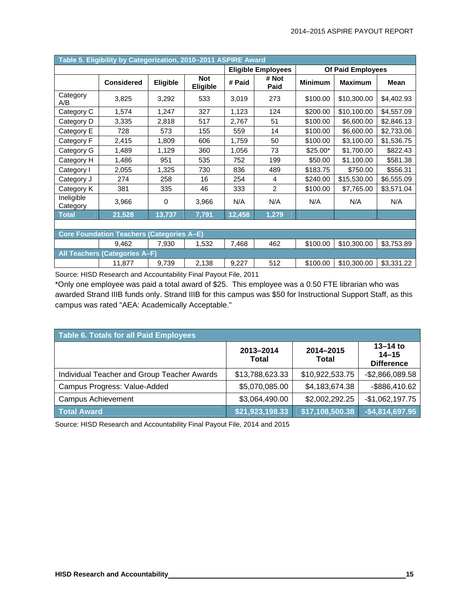| Table 5. Eligibility by Categorization, 2010-2011 ASPIRE Award |                               |          |                        |        |                           |                |                          |             |
|----------------------------------------------------------------|-------------------------------|----------|------------------------|--------|---------------------------|----------------|--------------------------|-------------|
|                                                                |                               |          |                        |        | <b>Eligible Employees</b> |                | <b>Of Paid Employees</b> |             |
|                                                                | <b>Considered</b>             | Eligible | <b>Not</b><br>Eligible | # Paid | # Not<br>Paid             | <b>Minimum</b> | <b>Maximum</b>           | <b>Mean</b> |
| Category<br>A/B                                                | 3,825                         | 3,292    | 533                    | 3,019  | 273                       | \$100.00       | \$10,300.00              | \$4,402.93  |
| Category C                                                     | 1,574                         | 1,247    | 327                    | 1,123  | 124                       | \$200.00       | \$10,100.00              | \$4,557.09  |
| Category D                                                     | 3,335                         | 2,818    | 517                    | 2,767  | 51                        | \$100.00       | \$6,600.00               | \$2,846.13  |
| Category E                                                     | 728                           | 573      | 155                    | 559    | 14                        | \$100.00       | \$6,600.00               | \$2,733.06  |
| Category F                                                     | 2,415                         | 1,809    | 606                    | 1,759  | 50                        | \$100.00       | \$3,100.00               | \$1,536.75  |
| Category G                                                     | 1,489                         | 1,129    | 360                    | 1,056  | 73                        | \$25.00*       | \$1,700.00               | \$822.43    |
| Category H                                                     | 1,486                         | 951      | 535                    | 752    | 199                       | \$50.00        | \$1,100.00               | \$581.38    |
| Category I                                                     | 2,055                         | 1,325    | 730                    | 836    | 489                       | \$183.75       | \$750.00                 | \$556.31    |
| Category J                                                     | 274                           | 258      | 16                     | 254    | 4                         | \$240.00       | \$15,530.00              | \$6,555.09  |
| Category K                                                     | 381                           | 335      | 46                     | 333    | 2                         | \$100.00       | \$7,765.00               | \$3,571.04  |
| Ineligible<br>Category                                         | 3,966                         | $\Omega$ | 3,966                  | N/A    | N/A                       | N/A            | N/A                      | N/A         |
| <b>Total</b>                                                   | 21,528                        | 13,737   | 7,791                  | 12,458 | 1,279                     |                |                          |             |
|                                                                |                               |          |                        |        |                           |                |                          |             |
| <b>Core Foundation Teachers (Categories A-E)</b>               |                               |          |                        |        |                           |                |                          |             |
|                                                                | 9,462                         | 7,930    | 1,532                  | 7,468  | 462                       | \$100.00       | \$10,300.00              | \$3,753.89  |
|                                                                | All Teachers (Categories A-F) |          |                        |        |                           |                |                          |             |
|                                                                | 11,877                        | 9,739    | 2,138                  | 9,227  | 512                       | \$100.00       | \$10,300.00              | \$3,331.22  |

\*Only one employee was paid a total award of \$25. This employee was a 0.50 FTE librarian who was awarded Strand IIIB funds only. Strand IIIB for this campus was \$50 for Instructional Support Staff, as this campus was rated "AEA: Academically Acceptable."

| <b>Table 6. Totals for all Paid Employees</b> |                    |                           |                                                |  |  |  |  |
|-----------------------------------------------|--------------------|---------------------------|------------------------------------------------|--|--|--|--|
|                                               | 2013-2014<br>Total | 2014-2015<br><b>Total</b> | $13 - 14$ to<br>$14 - 15$<br><b>Difference</b> |  |  |  |  |
| Individual Teacher and Group Teacher Awards   | \$13,788,623.33    | \$10,922,533.75           | $-$2,866,089.58$                               |  |  |  |  |
| Campus Progress: Value-Added                  | \$5,070,085.00     | \$4,183,674.38            | -\$886,410.62                                  |  |  |  |  |
| <b>Campus Achievement</b>                     | \$3,064,490.00     | \$2,002,292.25            | $-$1,062,197.75$                               |  |  |  |  |
| <b>Total Award</b>                            | \$21,923,198.33    | $ \$17,108,500.38^\top$   | $-$4,814,697.95$                               |  |  |  |  |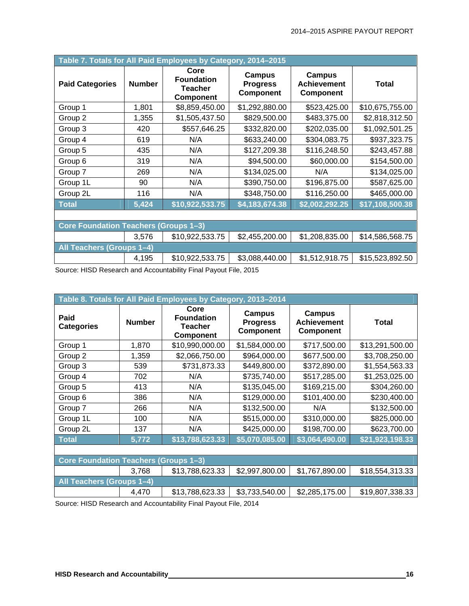| Table 7. Totals for All Paid Employees by Category, 2014-2015 |                                              |                                                   |                                        |                                                  |                 |  |  |  |
|---------------------------------------------------------------|----------------------------------------------|---------------------------------------------------|----------------------------------------|--------------------------------------------------|-----------------|--|--|--|
| <b>Paid Categories</b>                                        | <b>Number</b>                                | Core<br><b>Foundation</b><br>Teacher<br>Component | Campus<br><b>Progress</b><br>Component | <b>Campus</b><br><b>Achievement</b><br>Component | <b>Total</b>    |  |  |  |
| Group 1                                                       | 1,801                                        | \$8,859,450.00                                    | \$1,292,880.00                         | \$523,425.00                                     | \$10,675,755.00 |  |  |  |
| Group 2                                                       | 1,355                                        | \$1,505,437.50                                    | \$829,500.00                           | \$483,375.00                                     | \$2,818,312.50  |  |  |  |
| Group 3                                                       | 420                                          | \$557,646.25                                      | \$332,820.00                           | \$202,035.00                                     | \$1,092,501.25  |  |  |  |
| Group 4                                                       | 619                                          | N/A                                               | \$633,240.00                           | \$304,083.75                                     | \$937,323.75    |  |  |  |
| Group 5                                                       | 435                                          | N/A                                               | \$127,209.38                           | \$116,248.50                                     | \$243,457.88    |  |  |  |
| Group 6                                                       | 319                                          | N/A                                               | \$94,500.00                            | \$60,000.00                                      | \$154,500.00    |  |  |  |
| Group 7                                                       | 269                                          | N/A                                               | \$134,025.00                           | N/A                                              | \$134,025.00    |  |  |  |
| Group 1L                                                      | 90                                           | N/A                                               | \$390,750.00                           | \$196,875.00                                     | \$587,625.00    |  |  |  |
| Group 2L                                                      | 116                                          | N/A                                               | \$348,750.00                           | \$116,250.00                                     | \$465,000.00    |  |  |  |
| <b>Total</b>                                                  | 5,424                                        | \$10,922,533.75                                   | \$4,183,674.38                         | \$2,002,292.25                                   | \$17,108,500.38 |  |  |  |
|                                                               |                                              |                                                   |                                        |                                                  |                 |  |  |  |
|                                                               | <b>Core Foundation Teachers (Groups 1-3)</b> |                                                   |                                        |                                                  |                 |  |  |  |
|                                                               | 3,576                                        | \$10,922,533.75                                   | \$2,455,200.00                         | \$1,208,835.00                                   | \$14,586,568.75 |  |  |  |
| <b>All Teachers (Groups 1-4)</b>                              |                                              |                                                   |                                        |                                                  |                 |  |  |  |
|                                                               | 4,195                                        | \$10,922,533.75                                   | \$3,088,440.00                         | \$1,512,918.75                                   | \$15,523,892.50 |  |  |  |

| Table 8. Totals for All Paid Employees by Category, 2013-2014 |                                              |                                                                 |                                        |                                                  |                 |  |  |  |
|---------------------------------------------------------------|----------------------------------------------|-----------------------------------------------------------------|----------------------------------------|--------------------------------------------------|-----------------|--|--|--|
| Paid<br><b>Categories</b>                                     | <b>Number</b>                                | Core<br><b>Foundation</b><br><b>Teacher</b><br><b>Component</b> | Campus<br><b>Progress</b><br>Component | <b>Campus</b><br><b>Achievement</b><br>Component | <b>Total</b>    |  |  |  |
| Group 1                                                       | 1,870                                        | \$10,990,000.00                                                 | \$1,584,000.00                         | \$717,500.00                                     | \$13,291,500.00 |  |  |  |
| Group 2                                                       | 1,359                                        | \$2,066,750.00                                                  | \$964,000.00                           | \$677,500.00                                     | \$3,708,250.00  |  |  |  |
| Group 3                                                       | 539                                          | \$731,873.33                                                    | \$449,800.00                           | \$372,890.00                                     | \$1,554,563.33  |  |  |  |
| Group 4                                                       | 702                                          | N/A                                                             | \$735,740.00                           | \$517,285.00                                     | \$1,253,025.00  |  |  |  |
| Group 5                                                       | 413                                          | N/A                                                             | \$135,045.00                           | \$169,215.00                                     | \$304,260.00    |  |  |  |
| Group 6                                                       | 386                                          | N/A                                                             | \$129,000.00                           | \$101,400.00                                     | \$230,400.00    |  |  |  |
| Group 7                                                       | 266                                          | N/A                                                             | \$132,500.00                           | N/A                                              | \$132,500.00    |  |  |  |
| Group 1L                                                      | 100                                          | N/A                                                             | \$515,000.00                           | \$310,000.00                                     | \$825,000.00    |  |  |  |
| Group 2L                                                      | 137                                          | N/A                                                             | \$425,000.00                           | \$198,700.00                                     | \$623,700.00    |  |  |  |
| <b>Total</b>                                                  | 5,772                                        | \$13,788,623.33                                                 | \$5,070,085.00                         | \$3,064,490.00                                   | \$21,923,198.33 |  |  |  |
|                                                               |                                              |                                                                 |                                        |                                                  |                 |  |  |  |
|                                                               | <b>Core Foundation Teachers (Groups 1-3)</b> |                                                                 |                                        |                                                  |                 |  |  |  |
|                                                               | 3,768                                        | \$13,788,623.33                                                 | \$2,997,800.00                         | \$1,767,890.00                                   | \$18,554,313.33 |  |  |  |
| <b>All Teachers (Groups 1-4)</b>                              |                                              |                                                                 |                                        |                                                  |                 |  |  |  |
|                                                               | 4,470                                        | \$13,788,623.33                                                 | \$3,733,540.00                         | \$2,285,175.00                                   | \$19,807,338.33 |  |  |  |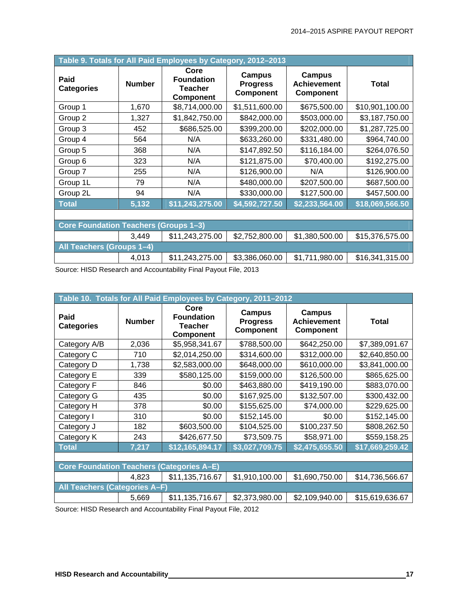| Table 9. Totals for All Paid Employees by Category, 2012-2013 |                                              |                                                                 |                                               |                                           |                 |  |  |  |
|---------------------------------------------------------------|----------------------------------------------|-----------------------------------------------------------------|-----------------------------------------------|-------------------------------------------|-----------------|--|--|--|
| Paid<br><b>Categories</b>                                     | <b>Number</b>                                | Core<br><b>Foundation</b><br><b>Teacher</b><br><b>Component</b> | Campus<br><b>Progress</b><br><b>Component</b> | Campus<br><b>Achievement</b><br>Component | <b>Total</b>    |  |  |  |
| Group 1                                                       | 1,670                                        | \$8,714,000.00                                                  | \$1,511,600.00                                | \$675,500.00                              | \$10,901,100.00 |  |  |  |
| Group 2                                                       | 1,327                                        | \$1,842,750.00                                                  | \$842,000.00                                  | \$503,000.00                              | \$3,187,750.00  |  |  |  |
| Group 3                                                       | 452                                          | \$686,525.00                                                    | \$399,200.00                                  | \$202,000.00                              | \$1,287,725.00  |  |  |  |
| Group 4                                                       | 564                                          | N/A                                                             | \$633,260.00                                  | \$331,480.00                              | \$964,740.00    |  |  |  |
| Group 5                                                       | 368                                          | N/A                                                             | \$147,892.50                                  | \$116,184.00                              | \$264,076.50    |  |  |  |
| Group 6                                                       | 323                                          | N/A                                                             | \$121,875.00                                  | \$70,400.00                               | \$192,275.00    |  |  |  |
| Group 7                                                       | 255                                          | N/A                                                             | \$126,900.00                                  | N/A                                       | \$126,900.00    |  |  |  |
| Group 1L                                                      | 79                                           | N/A                                                             | \$480,000.00                                  | \$207,500.00                              | \$687,500.00    |  |  |  |
| Group 2L                                                      | 94                                           | N/A                                                             | \$330,000.00                                  | \$127,500.00                              | \$457,500.00    |  |  |  |
| <b>Total</b>                                                  | 5,132                                        | \$11,243,275.00                                                 | \$4,592,727.50                                | \$2,233,564.00                            | \$18,069,566.50 |  |  |  |
|                                                               |                                              |                                                                 |                                               |                                           |                 |  |  |  |
|                                                               | <b>Core Foundation Teachers (Groups 1-3)</b> |                                                                 |                                               |                                           |                 |  |  |  |
|                                                               | 3,449                                        | \$11,243,275.00                                                 | \$2,752,800.00                                | \$1,380,500.00                            | \$15,376,575.00 |  |  |  |
| All Teachers (Groups 1-4)                                     |                                              |                                                                 |                                               |                                           |                 |  |  |  |
|                                                               | 4,013                                        | \$11,243,275.00                                                 | \$3,386,060.00                                | \$1,711,980.00                            | \$16,341,315.00 |  |  |  |

|                                                  |               | Table 10. Totals for All Paid Employees by Category, 2011-2012  |                                               |                                                         |                 |
|--------------------------------------------------|---------------|-----------------------------------------------------------------|-----------------------------------------------|---------------------------------------------------------|-----------------|
| Paid<br><b>Categories</b>                        | <b>Number</b> | Core<br><b>Foundation</b><br><b>Teacher</b><br><b>Component</b> | <b>Campus</b><br><b>Progress</b><br>Component | <b>Campus</b><br><b>Achievement</b><br><b>Component</b> | <b>Total</b>    |
| Category A/B                                     | 2,036         | \$5,958,341.67                                                  | \$788,500.00                                  | \$642,250.00                                            | \$7,389,091.67  |
| Category C                                       | 710           | \$2,014,250.00                                                  | \$314,600.00                                  | \$312,000.00                                            | \$2,640,850.00  |
| Category D                                       | 1,738         | \$2,583,000.00                                                  | \$648,000.00                                  | \$610,000.00                                            | \$3,841,000.00  |
| Category E                                       | 339           | \$580,125.00                                                    | \$159,000.00                                  | \$126,500.00                                            | \$865,625.00    |
| Category F                                       | 846           | \$0.00                                                          | \$463,880.00                                  | \$419,190.00                                            | \$883,070.00    |
| Category G                                       | 435           | \$0.00                                                          | \$167,925.00                                  | \$132,507.00                                            | \$300,432.00    |
| Category H                                       | 378           | \$0.00                                                          | \$155,625.00                                  | \$74,000.00                                             | \$229,625.00    |
| Category I                                       | 310           | \$0.00                                                          | \$152,145.00                                  | \$0.00                                                  | \$152,145.00    |
| Category J                                       | 182           | \$603,500.00                                                    | \$104,525.00                                  | \$100,237.50                                            | \$808,262.50    |
| Category K                                       | 243           | \$426,677.50                                                    | \$73,509.75                                   | \$58,971.00                                             | \$559,158.25    |
| <b>Total</b>                                     | 7,217         | \$12,165,894.17                                                 | \$3,027,709.75                                | \$2,475,655.50                                          | \$17,669,259.42 |
|                                                  |               |                                                                 |                                               |                                                         |                 |
| <b>Core Foundation Teachers (Categories A-E)</b> |               |                                                                 |                                               |                                                         |                 |
|                                                  | 4,823         | \$11,135,716.67                                                 | \$1,910,100.00                                | \$1,690,750.00                                          | \$14,736,566.67 |
| <b>All Teachers (Categories A-F)</b>             |               |                                                                 |                                               |                                                         |                 |
|                                                  | 5,669         | \$11,135,716.67                                                 | \$2,373,980.00                                | \$2,109,940.00                                          | \$15,619,636.67 |